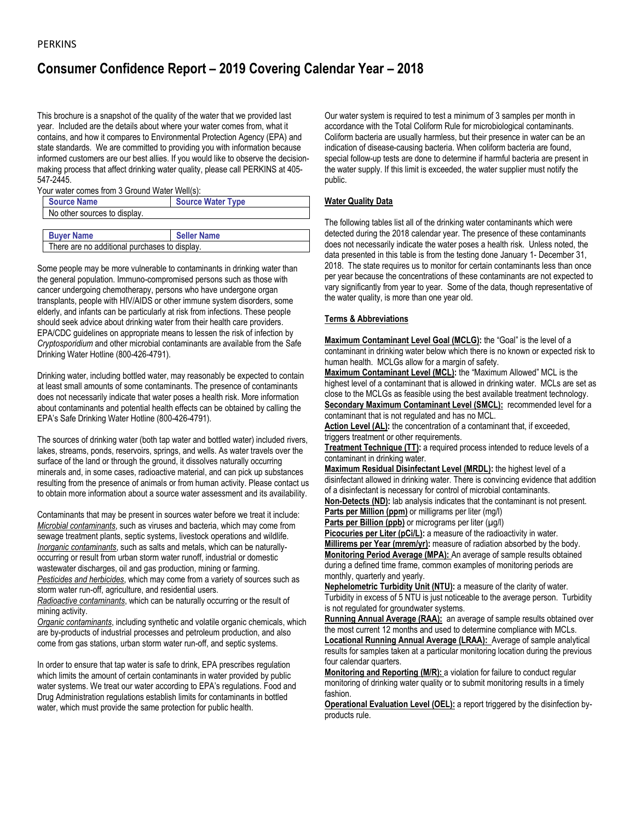# **Consumer Confidence Report – 2019 Covering Calendar Year – 2018**

This brochure is a snapshot of the quality of the water that we provided last year. Included are the details about where your water comes from, what it contains, and how it compares to Environmental Protection Agency (EPA) and state standards. We are committed to providing you with information because informed customers are our best allies. If you would like to observe the decisionmaking process that affect drinking water quality, please call PERKINS at 405- 547-2445.

Your water comes from 3 Ground Water Well(s):

| Source Name                  | <b>Source Water Type</b> |
|------------------------------|--------------------------|
| No other sources to display. |                          |
|                              |                          |

**Buyer Name Seller Name** There are no additional purchases to display.

Some people may be more vulnerable to contaminants in drinking water than the general population. Immuno-compromised persons such as those with cancer undergoing chemotherapy, persons who have undergone organ transplants, people with HIV/AIDS or other immune system disorders, some elderly, and infants can be particularly at risk from infections. These people should seek advice about drinking water from their health care providers. EPA/CDC guidelines on appropriate means to lessen the risk of infection by *Cryptosporidium* and other microbial contaminants are available from the Safe Drinking Water Hotline (800-426-4791).

Drinking water, including bottled water, may reasonably be expected to contain at least small amounts of some contaminants. The presence of contaminants does not necessarily indicate that water poses a health risk. More information about contaminants and potential health effects can be obtained by calling the EPA's Safe Drinking Water Hotline (800-426-4791).

The sources of drinking water (both tap water and bottled water) included rivers, lakes, streams, ponds, reservoirs, springs, and wells. As water travels over the surface of the land or through the ground, it dissolves naturally occurring minerals and, in some cases, radioactive material, and can pick up substances resulting from the presence of animals or from human activity. Please contact us to obtain more information about a source water assessment and its availability.

Contaminants that may be present in sources water before we treat it include: *Microbial contaminants*, such as viruses and bacteria, which may come from sewage treatment plants, septic systems, livestock operations and wildlife. *Inorganic contaminants*, such as salts and metals, which can be naturallyoccurring or result from urban storm water runoff, industrial or domestic wastewater discharges, oil and gas production, mining or farming. *Pesticides and herbicides*, which may come from a variety of sources such as storm water run-off, agriculture, and residential users.

*Radioactive contaminants*, which can be naturally occurring or the result of mining activity.

*Organic contaminants*, including synthetic and volatile organic chemicals, which are by-products of industrial processes and petroleum production, and also come from gas stations, urban storm water run-off, and septic systems.

In order to ensure that tap water is safe to drink, EPA prescribes regulation which limits the amount of certain contaminants in water provided by public water systems. We treat our water according to EPA's regulations. Food and Drug Administration regulations establish limits for contaminants in bottled water, which must provide the same protection for public health.

Our water system is required to test a minimum of 3 samples per month in accordance with the Total Coliform Rule for microbiological contaminants. Coliform bacteria are usually harmless, but their presence in water can be an indication of disease-causing bacteria. When coliform bacteria are found, special follow-up tests are done to determine if harmful bacteria are present in the water supply. If this limit is exceeded, the water supplier must notify the public.

## **Water Quality Data**

The following tables list all of the drinking water contaminants which were detected during the 2018 calendar year. The presence of these contaminants does not necessarily indicate the water poses a health risk. Unless noted, the data presented in this table is from the testing done January 1- December 31, 2018. The state requires us to monitor for certain contaminants less than once per year because the concentrations of these contaminants are not expected to vary significantly from year to year. Some of the data, though representative of the water quality, is more than one year old.

## **Terms & Abbreviations**

**Maximum Contaminant Level Goal (MCLG):** the "Goal" is the level of a contaminant in drinking water below which there is no known or expected risk to human health. MCLGs allow for a margin of safety.

**Maximum Contaminant Level (MCL):** the "Maximum Allowed" MCL is the highest level of a contaminant that is allowed in drinking water. MCLs are set as close to the MCLGs as feasible using the best available treatment technology. **Secondary Maximum Contaminant Level (SMCL):** recommended level for a contaminant that is not regulated and has no MCL.

Action Level (AL): the concentration of a contaminant that, if exceeded, triggers treatment or other requirements.

**Treatment Technique (TT):** a required process intended to reduce levels of a contaminant in drinking water.

**Maximum Residual Disinfectant Level (MRDL):** the highest level of a disinfectant allowed in drinking water. There is convincing evidence that addition of a disinfectant is necessary for control of microbial contaminants.

**Non-Detects (ND):** lab analysis indicates that the contaminant is not present. **Parts per Million (ppm)** or milligrams per liter (mg/l)

**Parts per Billion (ppb)** or micrograms per liter ( $\mu$ g/l)

**Picocuries per Liter (pCi/L):** a measure of the radioactivity in water. **Millirems per Year (mrem/yr):** measure of radiation absorbed by the body. **Monitoring Period Average (MPA):** An average of sample results obtained during a defined time frame, common examples of monitoring periods are monthly, quarterly and yearly.

**Nephelometric Turbidity Unit (NTU):** a measure of the clarity of water. Turbidity in excess of 5 NTU is just noticeable to the average person. Turbidity is not regulated for groundwater systems.

**Running Annual Average (RAA):** an average of sample results obtained over the most current 12 months and used to determine compliance with MCLs. **Locational Running Annual Average (LRAA):** Average of sample analytical results for samples taken at a particular monitoring location during the previous

four calendar quarters. **Monitoring and Reporting (M/R):** a violation for failure to conduct regular monitoring of drinking water quality or to submit monitoring results in a timely fashion.

**Operational Evaluation Level (OEL):** a report triggered by the disinfection byproducts rule.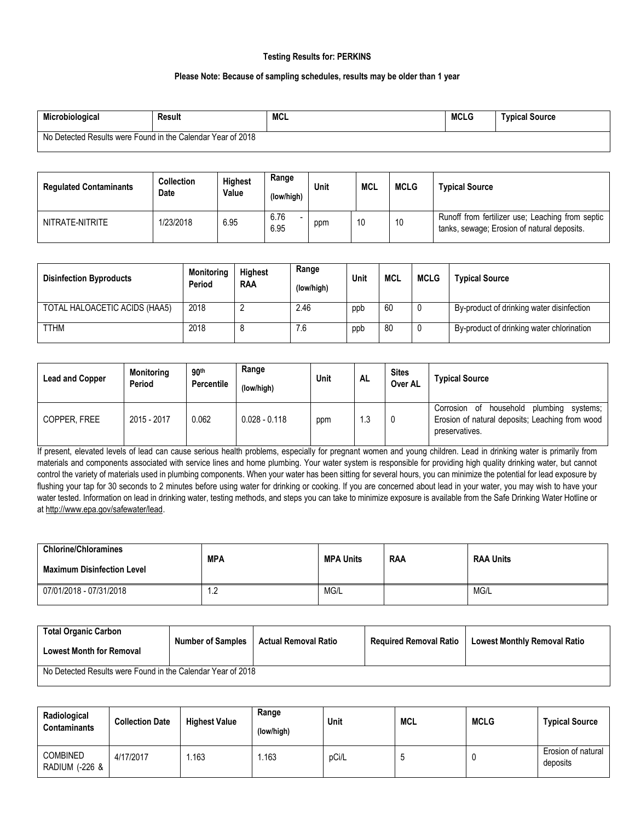## **Testing Results for: PERKINS**

## **Please Note: Because of sampling schedules, results may be older than 1 year**

| Microbiological                                             | Result | <b>MCL</b> | <b>MCLG</b> | <b>Typical Source</b> |
|-------------------------------------------------------------|--------|------------|-------------|-----------------------|
| No Detected Results were Found in the Calendar Year of 2018 |        |            |             |                       |

| <b>Regulated Contaminants</b> | <b>Collection</b><br>Date | <b>Highest</b><br>Value | Range<br>(low/high) | Unit | <b>MCL</b> | <b>MCLG</b> | <b>Typical Source</b>                                                                           |
|-------------------------------|---------------------------|-------------------------|---------------------|------|------------|-------------|-------------------------------------------------------------------------------------------------|
| NITRATE-NITRITE               | 1/23/2018                 | 6.95                    | 6.76<br>6.95        | ppm  | 10         | 10          | Runoff from fertilizer use; Leaching from septic<br>tanks, sewage; Erosion of natural deposits. |

| <b>Disinfection Byproducts</b> | <b>Monitoring</b><br>Period | <b>Highest</b><br><b>RAA</b> | Range<br>(low/high) | Unit | <b>MCL</b> | <b>MCLG</b> | <b>Typical Source</b>                     |
|--------------------------------|-----------------------------|------------------------------|---------------------|------|------------|-------------|-------------------------------------------|
| TOTAL HALOACETIC ACIDS (HAA5)  | 2018                        |                              | 2.46                | ppb  | 60         |             | By-product of drinking water disinfection |
| <b>TTHM</b>                    | 2018                        | 8                            | 7.6                 | ppb  | 80         |             | By-product of drinking water chlorination |

| <b>Lead and Copper</b> | <b>Monitoring</b><br>Period | 90 <sup>th</sup><br><b>Percentile</b> | Range<br>(low/high) | Unit | <b>AL</b> | <b>Sites</b><br>Over AL | <b>Typical Source</b>                                                                                                  |
|------------------------|-----------------------------|---------------------------------------|---------------------|------|-----------|-------------------------|------------------------------------------------------------------------------------------------------------------------|
| COPPER, FREE           | 2015 - 2017                 | 0.062                                 | $0.028 - 0.118$     | ppm  | ∣.3       | 0                       | household<br>plumbing<br>Corrosion of<br>systems;<br>Erosion of natural deposits; Leaching from wood<br>preservatives. |

If present, elevated levels of lead can cause serious health problems, especially for pregnant women and young children. Lead in drinking water is primarily from materials and components associated with service lines and home plumbing. Your water system is responsible for providing high quality drinking water, but cannot control the variety of materials used in plumbing components. When your water has been sitting for several hours, you can minimize the potential for lead exposure by flushing your tap for 30 seconds to 2 minutes before using water for drinking or cooking. If you are concerned about lead in your water, you may wish to have your water tested. Information on lead in drinking water, testing methods, and steps you can take to minimize exposure is available from the Safe Drinking Water Hotline or a[t http://www.epa.gov/safewater/lead.](http://www.epa.gov/safewater/lead)

| <b>Chlorine/Chloramines</b><br><b>Maximum Disinfection Level</b> | <b>MPA</b> | <b>MPA Units</b> | <b>RAA</b> | <b>RAA Units</b> |
|------------------------------------------------------------------|------------|------------------|------------|------------------|
| 07/01/2018 - 07/31/2018                                          | ے. ا       | MG/L             |            | MG/L             |

| Total Organic Carbon<br><b>Lowest Month for Removal</b>     | <b>Number of Samples</b> | Actual Removal Ratio | <b>Required Removal Ratio</b> | <b>Lowest Monthly Removal Ratio</b> |  |  |
|-------------------------------------------------------------|--------------------------|----------------------|-------------------------------|-------------------------------------|--|--|
| No Detected Results were Found in the Calendar Year of 2018 |                          |                      |                               |                                     |  |  |

| Radiological<br><b>Contaminants</b> | <b>Collection Date</b> | <b>Highest Value</b> | Range<br>(low/high) | Unit  | <b>MCL</b> | <b>MCLG</b> | <b>Typical Source</b>          |
|-------------------------------------|------------------------|----------------------|---------------------|-------|------------|-------------|--------------------------------|
| <b>COMBINED</b><br>RADIUM (-226 &   | 4/17/2017              | 1.163                | .163                | pCi/L |            |             | Erosion of natural<br>deposits |